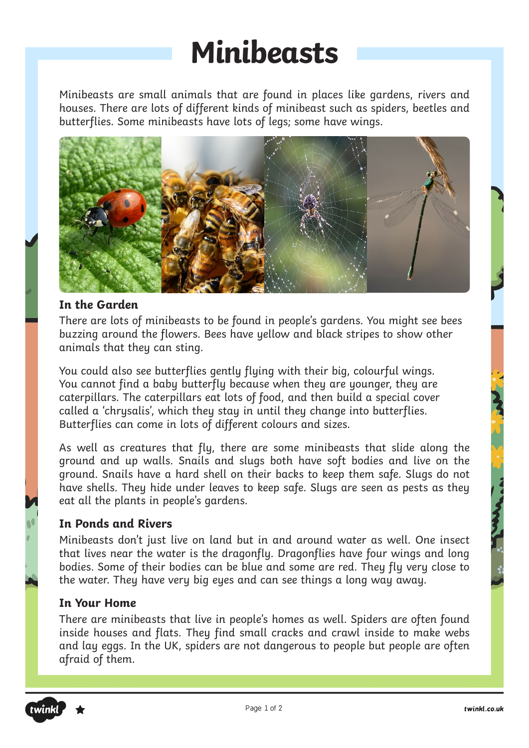### **Minibeasts**

Minibeasts are small animals that are found in places like gardens, rivers and houses. There are lots of different kinds of minibeast such as spiders, beetles and butterflies. Some minibeasts have lots of legs; some have wings.



#### **In the Garden**

There are lots of minibeasts to be found in people's gardens. You might see bees buzzing around the flowers. Bees have yellow and black stripes to show other animals that they can sting.

You could also see butterflies gently flying with their big, colourful wings. You cannot find a baby butterfly because when they are younger, they are caterpillars. The caterpillars eat lots of food, and then build a special cover called a 'chrysalis', which they stay in until they change into butterflies. Butterflies can come in lots of different colours and sizes.

As well as creatures that fly, there are some minibeasts that slide along the ground and up walls. Snails and slugs both have soft bodies and live on the ground. Snails have a hard shell on their backs to keep them safe. Slugs do not have shells. They hide under leaves to keep safe. Slugs are seen as pests as they eat all the plants in people's gardens.

#### **In Ponds and Rivers**

Minibeasts don't just live on land but in and around water as well. One insect that lives near the water is the dragonfly. Dragonflies have four wings and long bodies. Some of their bodies can be blue and some are red. They fly very close to the water. They have very big eyes and can see things a long way away.

#### **In Your Home**

There are minibeasts that live in people's homes as well. Spiders are often found inside houses and flats. They find small cracks and crawl inside to make webs and lay eggs. In the UK, spiders are not dangerous to people but people are often afraid of them.

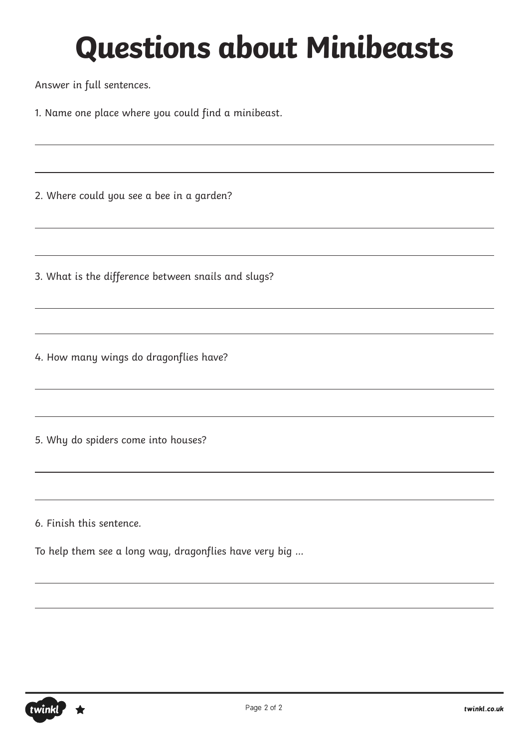Answer in full sentences.

1. Name one place where you could find a minibeast.

2. Where could you see a bee in a garden?

3. What is the difference between snails and slugs?

4. How many wings do dragonflies have?

5. Why do spiders come into houses?

6. Finish this sentence.

To help them see a long way, dragonflies have very big …

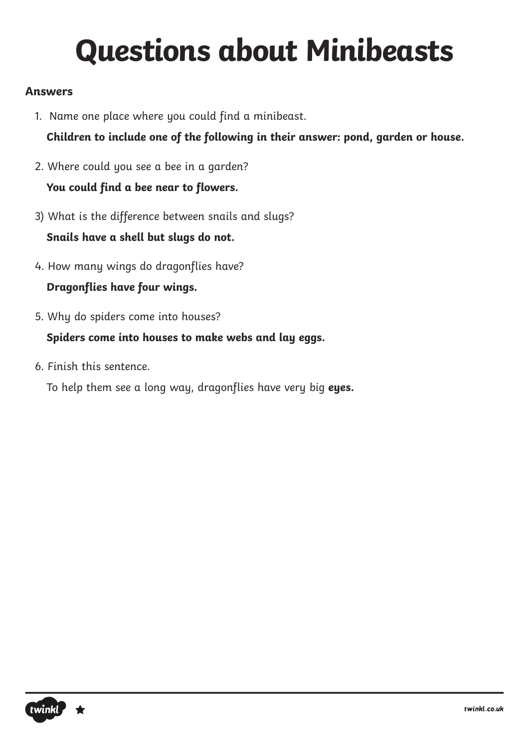### **Answers**

1. Name one place where you could find a minibeast.

**Children to include one of the following in their answer: pond, garden or house.**

- 2. Where could you see a bee in a garden? **You could find a bee near to flowers.**
- 3) What is the difference between snails and slugs?

**Snails have a shell but slugs do not.**

- 4. How many wings do dragonflies have? **Dragonflies have four wings.**
- 5. Why do spiders come into houses?

**Spiders come into houses to make webs and lay eggs.**

6. Finish this sentence.

To help them see a long way, dragonflies have very big **eyes.**

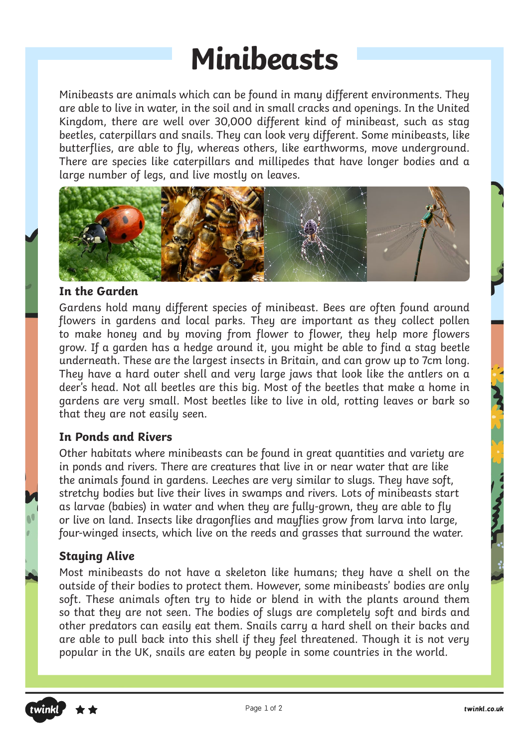### **Minibeasts**

Minibeasts are animals which can be found in many different environments. They are able to live in water, in the soil and in small cracks and openings. In the United Kingdom, there are well over 30,000 different kind of minibeast, such as stag beetles, caterpillars and snails. They can look very different. Some minibeasts, like butterflies, are able to fly, whereas others, like earthworms, move underground. There are species like caterpillars and millipedes that have longer bodies and a large number of legs, and live mostly on leaves.



#### **In the Garden**

Gardens hold many different species of minibeast. Bees are often found around flowers in gardens and local parks. They are important as they collect pollen to make honey and by moving from flower to flower, they help more flowers grow. If a garden has a hedge around it, you might be able to find a stag beetle underneath. These are the largest insects in Britain, and can grow up to 7cm long. They have a hard outer shell and very large jaws that look like the antlers on a deer's head. Not all beetles are this big. Most of the beetles that make a home in gardens are very small. Most beetles like to live in old, rotting leaves or bark so that they are not easily seen.

#### **In Ponds and Rivers**

Other habitats where minibeasts can be found in great quantities and variety are in ponds and rivers. There are creatures that live in or near water that are like the animals found in gardens. Leeches are very similar to slugs. They have soft, stretchy bodies but live their lives in swamps and rivers. Lots of minibeasts start as larvae (babies) in water and when they are fully-grown, they are able to fly or live on land. Insects like dragonflies and mayflies grow from larva into large, four-winged insects, which live on the reeds and grasses that surround the water.

#### **Staying Alive**

Most minibeasts do not have a skeleton like humans; they have a shell on the outside of their bodies to protect them. However, some minibeasts' bodies are only soft. These animals often try to hide or blend in with the plants around them so that they are not seen. The bodies of slugs are completely soft and birds and other predators can easily eat them. Snails carry a hard shell on their backs and are able to pull back into this shell if they feel threatened. Though it is not very popular in the UK, snails are eaten by people in some countries in the world.

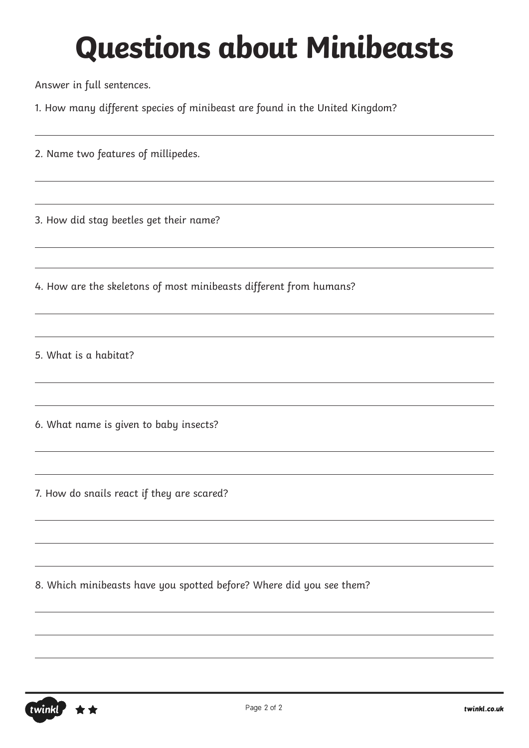Answer in full sentences.

1. How many different species of minibeast are found in the United Kingdom?

2. Name two features of millipedes.

3. How did stag beetles get their name?

4. How are the skeletons of most minibeasts different from humans?

5. What is a habitat?

6. What name is given to baby insects?

7. How do snails react if they are scared?

8. Which minibeasts have you spotted before? Where did you see them?

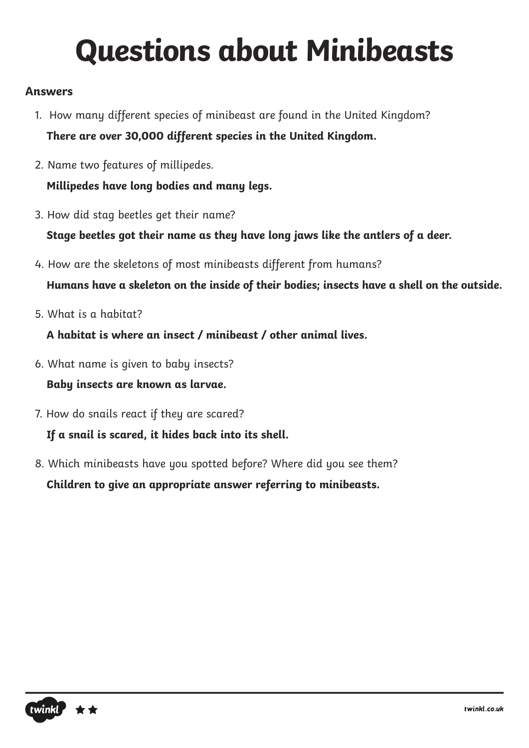### **Answers**

- 1. How many different species of minibeast are found in the United Kingdom? **There are over 30,000 different species in the United Kingdom.**
- 2. Name two features of millipedes. **Millipedes have long bodies and many legs.**
- 
- 3. How did stag beetles get their name?

**Stage beetles got their name as they have long jaws like the antlers of a deer.**

4. How are the skeletons of most minibeasts different from humans?

**Humans have a skeleton on the inside of their bodies; insects have a shell on the outside.**

5. What is a habitat?

**A habitat is where an insect / minibeast / other animal lives.**

- 6. What name is given to baby insects? **Baby insects are known as larvae.**
- 7. How do snails react if they are scared? **If a snail is scared, it hides back into its shell.**
- 8. Which minibeasts have you spotted before? Where did you see them? **Children to give an appropriate answer referring to minibeasts.**

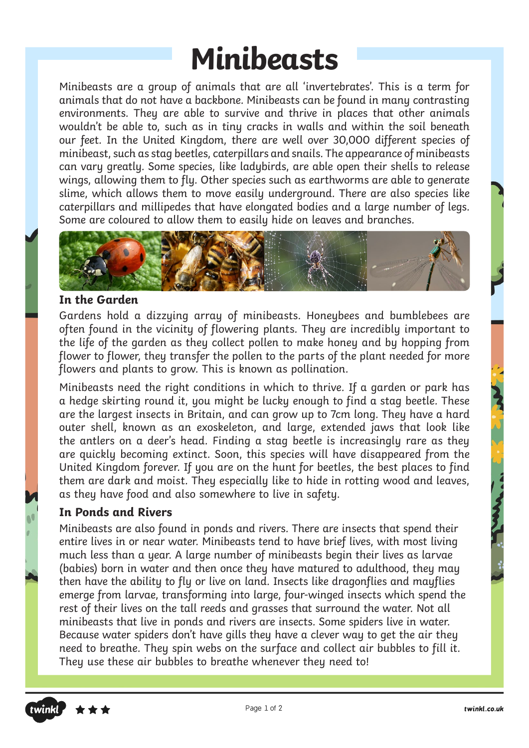### **Minibeasts**

Minibeasts are a group of animals that are all 'invertebrates'. This is a term for animals that do not have a backbone. Minibeasts can be found in many contrasting environments. They are able to survive and thrive in places that other animals wouldn't be able to, such as in tiny cracks in walls and within the soil beneath our feet. In the United Kingdom, there are well over 30,000 different species of minibeast, such as stag beetles, caterpillars and snails. The appearance of minibeasts can vary greatly. Some species, like ladybirds, are able open their shells to release wings, allowing them to fly. Other species such as earthworms are able to generate slime, which allows them to move easily underground. There are also species like caterpillars and millipedes that have elongated bodies and a large number of legs. Some are coloured to allow them to easily hide on leaves and branches.



#### **In the Garden**

Gardens hold a dizzying array of minibeasts. Honeybees and bumblebees are often found in the vicinity of flowering plants. They are incredibly important to the life of the garden as they collect pollen to make honey and by hopping from flower to flower, they transfer the pollen to the parts of the plant needed for more flowers and plants to grow. This is known as pollination.

Minibeasts need the right conditions in which to thrive. If a garden or park has a hedge skirting round it, you might be lucky enough to find a stag beetle. These are the largest insects in Britain, and can grow up to 7cm long. They have a hard outer shell, known as an exoskeleton, and large, extended jaws that look like the antlers on a deer's head. Finding a stag beetle is increasingly rare as they are quickly becoming extinct. Soon, this species will have disappeared from the United Kingdom forever. If you are on the hunt for beetles, the best places to find them are dark and moist. They especially like to hide in rotting wood and leaves, as they have food and also somewhere to live in safety.

#### **In Ponds and Rivers**

Minibeasts are also found in ponds and rivers. There are insects that spend their entire lives in or near water. Minibeasts tend to have brief lives, with most living much less than a year. A large number of minibeasts begin their lives as larvae (babies) born in water and then once they have matured to adulthood, they may then have the ability to fly or live on land. Insects like dragonflies and mayflies emerge from larvae, transforming into large, four-winged insects which spend the rest of their lives on the tall reeds and grasses that surround the water. Not all minibeasts that live in ponds and rivers are insects. Some spiders live in water. Because water spiders don't have gills they have a clever way to get the air they need to breathe. They spin webs on the surface and collect air bubbles to fill it. They use these air bubbles to breathe whenever they need to!

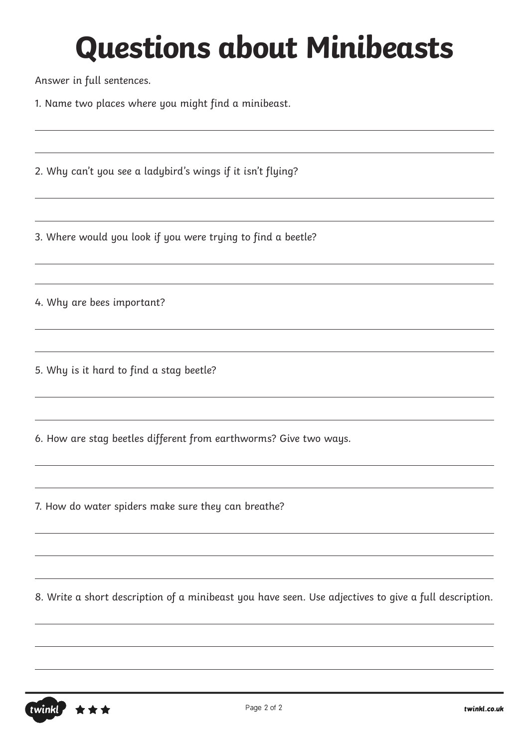Answer in full sentences.

1. Name two places where you might find a minibeast.

2. Why can't you see a ladybird's wings if it isn't flying?

3. Where would you look if you were trying to find a beetle?

4. Why are bees important?

5. Why is it hard to find a stag beetle?

6. How are stag beetles different from earthworms? Give two ways.

7. How do water spiders make sure they can breathe?

8. Write a short description of a minibeast you have seen. Use adjectives to give a full description.